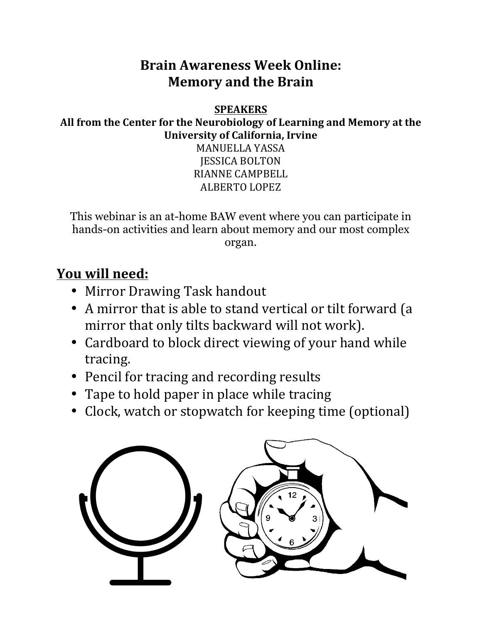## **Brain Awareness Week Online: Memory and the Brain**

#### **SPEAKERS**

All from the Center for the Neurobiology of Learning and Memory at the **University of California, Irvine** 

> MANUELLA YASSA **IESSICA BOLTON** RIANNE CAMPBELL **ALBERTO LOPEZ**

This webinar is an at-home BAW event where you can participate in hands-on activities and learn about memory and our most complex organ.

### **<u>You will need:</u>**

- Mirror Drawing Task handout
- A mirror that is able to stand vertical or tilt forward (a mirror that only tilts backward will not work).
- Cardboard to block direct viewing of your hand while tracing.
- Pencil for tracing and recording results
- Tape to hold paper in place while tracing
- Clock, watch or stopwatch for keeping time (optional)

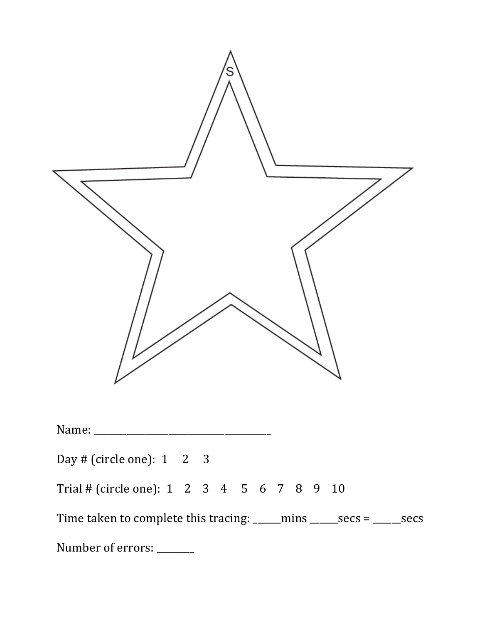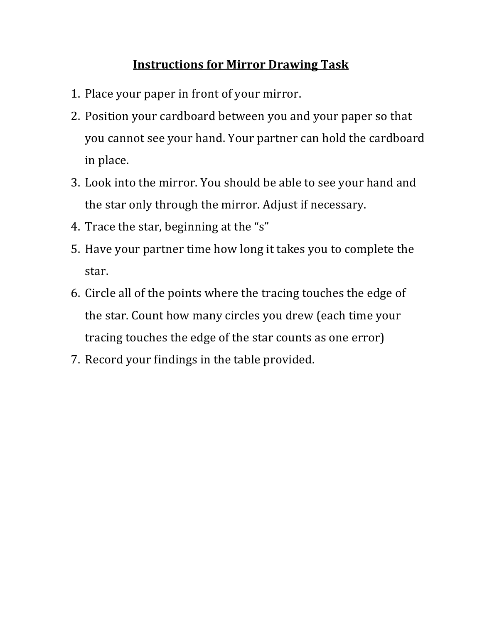#### **Instructions for Mirror Drawing Task**

- 1. Place your paper in front of your mirror.
- 2. Position your cardboard between you and your paper so that you cannot see your hand. Your partner can hold the cardboard in place.
- 3. Look into the mirror. You should be able to see your hand and the star only through the mirror. Adjust if necessary.
- 4. Trace the star, beginning at the "s"
- 5. Have your partner time how long it takes you to complete the star.
- 6. Circle all of the points where the tracing touches the edge of the star. Count how many circles you drew (each time your tracing touches the edge of the star counts as one error)
- 7. Record your findings in the table provided.